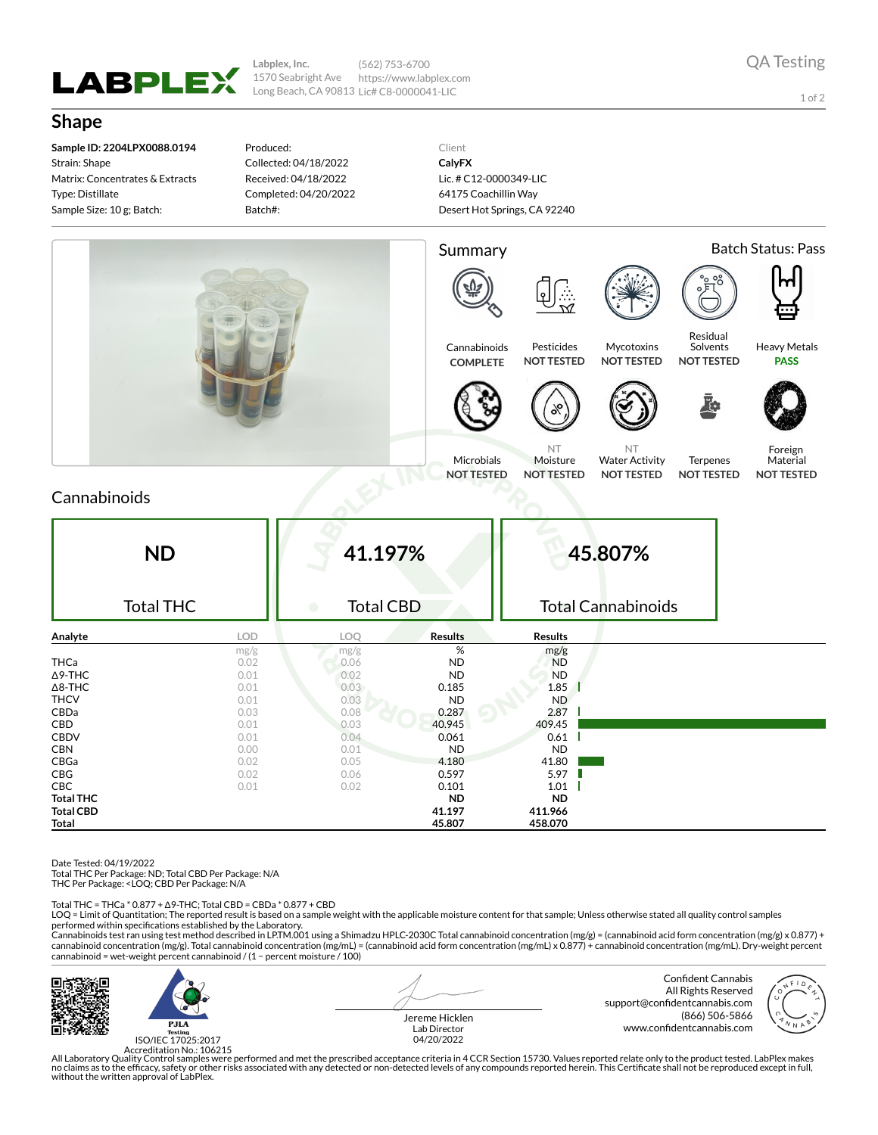

**Labplex, Inc.** 1570 Seabright Ave Long Beach, CA 90813 Lic# C8-0000041-LIC (562) 753-6700 https://www.labplex.com

1 of 2

## **Shape**

**Sample ID: 2204LPX0088.0194** Strain: Shape Matrix: Concentrates & Extracts Type: Distillate Sample Size: 10 g; Batch:

Produced: Collected: 04/18/2022 Received: 04/18/2022 Completed: 04/20/2022 Batch#:

Client **CalyFX** Lic. # C12-0000349-LIC 64175 Coachillin Way Desert Hot Springs, CA 92240



## Cannabinoids

| <b>ND</b><br><b>Total THC</b> |            | 41.197%<br><b>Total CBD</b><br>$\bullet$ |                | 45.807%<br><b>Total Cannabinoids</b> |  |
|-------------------------------|------------|------------------------------------------|----------------|--------------------------------------|--|
| Analyte                       | <b>LOD</b> | LOQ                                      | <b>Results</b> | <b>Results</b>                       |  |
|                               | mg/g       | mg/g                                     | %              | mg/g                                 |  |
| <b>THCa</b>                   | 0.02       | 0.06                                     | <b>ND</b>      | <b>ND</b>                            |  |
| $\Delta$ 9-THC                | 0.01       | 0.02                                     | <b>ND</b>      | <b>ND</b>                            |  |
| $\Delta$ 8-THC                | 0.01       | 0.03                                     | 0.185          | 1.85                                 |  |
| <b>THCV</b>                   | 0.01       | 0.03                                     | <b>ND</b>      | <b>ND</b>                            |  |
| CBDa                          | 0.03       | 0.08                                     | 0.287          | 2.87                                 |  |
| CBD                           | 0.01       | 0.03                                     | 40.945         | 409.45                               |  |
| <b>CBDV</b>                   | 0.01       | 0.04                                     | 0.061          | 0.61                                 |  |
| <b>CBN</b>                    | 0.00       | 0.01                                     | <b>ND</b>      | <b>ND</b>                            |  |
| CBGa                          | 0.02       | 0.05                                     | 4.180          | 41.80                                |  |
| CBG                           | 0.02       | 0.06                                     | 0.597          | 5.97                                 |  |
| CBC                           | 0.01       | 0.02                                     | 0.101          | 1.01                                 |  |
| <b>Total THC</b>              |            |                                          | <b>ND</b>      | <b>ND</b>                            |  |
| <b>Total CBD</b>              |            |                                          | 41.197         | 411.966                              |  |
| Total                         |            |                                          | 45.807         | 458.070                              |  |

Date Tested: 04/19/2022

Total THC Per Package: ND; Total CBD Per Package: N/A

THC Per Package: <LOQ; CBD Per Package: N/A

Total THC = THCa \* 0.877 + ∆9-THC; Total CBD = CBDa \* 0.877 + CBD

LOQ = Limit of Quantitation; The reported result is based on a sample weight with the applicable moisture content for that sample; Unless otherwise stated all quality control samples performed within specifications established by the Laboratory.

Cannabinoids test ran using test method described in LP.TM.001 using a Shimadzu HPLC-2030C Total cannabinoid concentration (mg/g) = (cannabinoid acid form concentration (mg/g) x 0.877) +<br>cannabinoid concentration (mg/g). T cannabinoid = wet-weight percent cannabinoid / (1 − percent moisture / 100)



 $P.H.A$ ISO/IEC 17025:2017 Jereme Hicklen Lab Director 04/20/2022

Confident Cannabis All Rights Reserved support@confidentcannabis.com (866) 506-5866 www.confidentcannabis.com



Accreditation No.: 106215<br>All Laboratory Quality Control samples were performed and met the prescribed acceptance criteria in 4 CCR Section 15730. Values reported relate only to the product tested. LabPlex makes<br>Ino claims without the written approval of LabPlex.